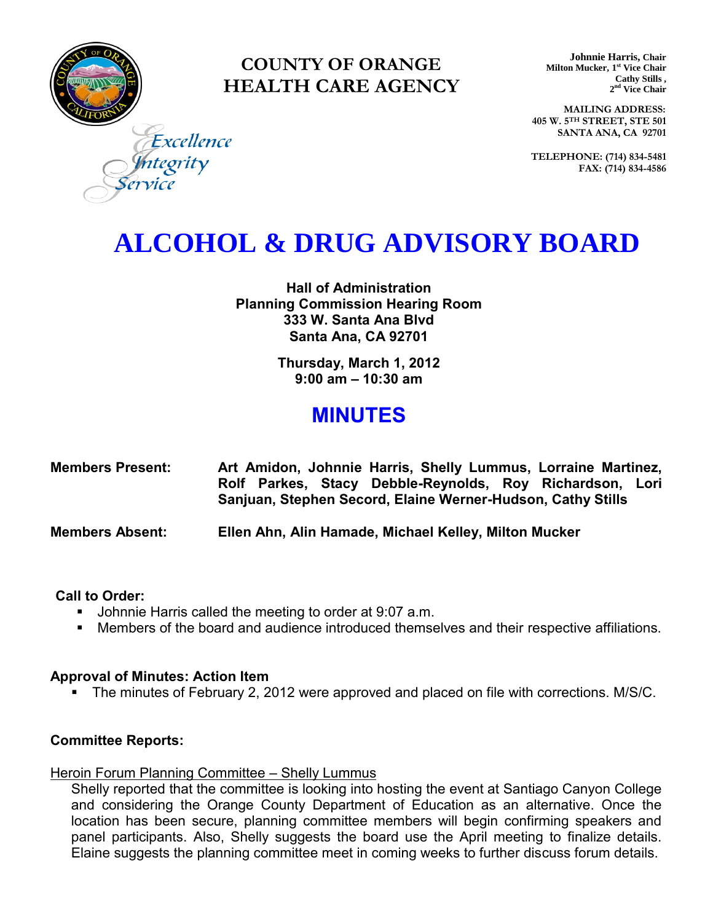

### **COUNTY OF ORANGE HEALTH CARE AGENCY**

**Johnnie Harris, Chair Milton Mucker, 1 st Vice Chair Cathy Stills , 2 nd Vice Chair**

**MAILING ADDRESS: 405 W. 5TH STREET, STE 501 SANTA ANA, CA 92701**

**TELEPHONE: (714) 834-5481 FAX: (714) 834-4586**

Excellence ntegrity

## **ALCOHOL & DRUG ADVISORY BOARD**

**Hall of Administration Planning Commission Hearing Room 333 W. Santa Ana Blvd Santa Ana, CA 92701** 

> **Thursday, March 1, 2012 9:00 am – 10:30 am**

### **MINUTES**

| <b>Members Present:</b> | Art Amidon, Johnnie Harris, Shelly Lummus, Lorraine Martinez,                                                           |
|-------------------------|-------------------------------------------------------------------------------------------------------------------------|
|                         | Rolf Parkes, Stacy Debble-Reynolds, Roy Richardson, Lori<br>Sanjuan, Stephen Secord, Elaine Werner-Hudson, Cathy Stills |
| <b>Members Absent:</b>  | Ellen Ahn, Alin Hamade, Michael Kelley, Milton Mucker                                                                   |

#### **Call to Order:**

- Johnnie Harris called the meeting to order at 9:07 a.m.
- Members of the board and audience introduced themselves and their respective affiliations.

#### **Approval of Minutes: Action Item**

The minutes of February 2, 2012 were approved and placed on file with corrections. M/S/C.

#### **Committee Reports:**

#### Heroin Forum Planning Committee – Shelly Lummus

Shelly reported that the committee is looking into hosting the event at Santiago Canyon College and considering the Orange County Department of Education as an alternative. Once the location has been secure, planning committee members will begin confirming speakers and panel participants. Also, Shelly suggests the board use the April meeting to finalize details. Elaine suggests the planning committee meet in coming weeks to further discuss forum details.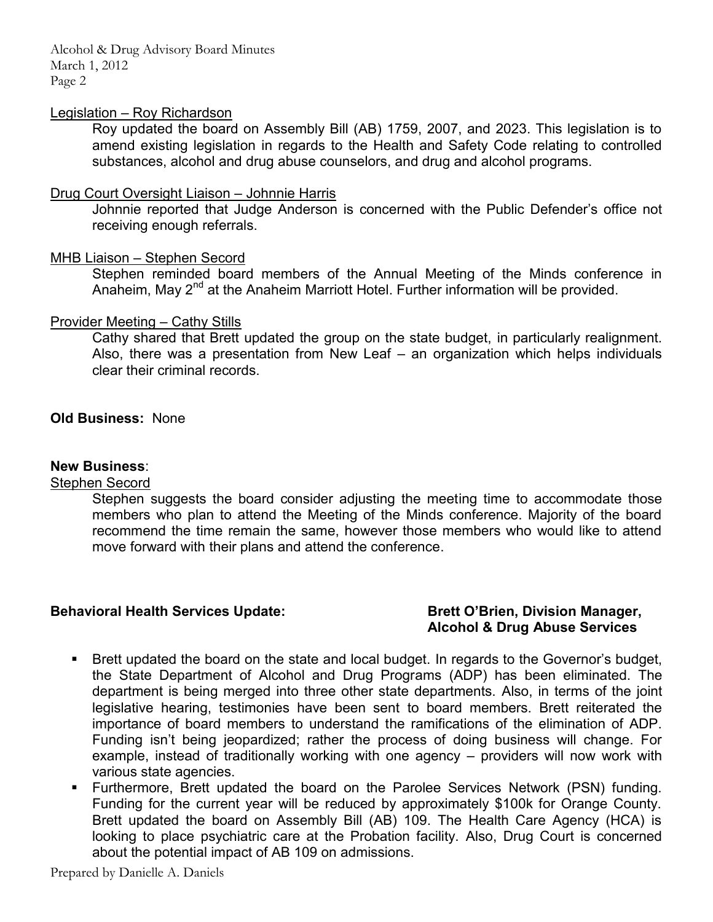Alcohol & Drug Advisory Board Minutes March 1, 2012 Page 2

#### Legislation – Roy Richardson

Roy updated the board on Assembly Bill (AB) 1759, 2007, and 2023. This legislation is to amend existing legislation in regards to the Health and Safety Code relating to controlled substances, alcohol and drug abuse counselors, and drug and alcohol programs.

#### Drug Court Oversight Liaison – Johnnie Harris

Johnnie reported that Judge Anderson is concerned with the Public Defender's office not receiving enough referrals.

#### MHB Liaison – Stephen Secord

Stephen reminded board members of the Annual Meeting of the Minds conference in Anaheim, May 2<sup>nd</sup> at the Anaheim Marriott Hotel. Further information will be provided.

#### Provider Meeting – Cathy Stills

Cathy shared that Brett updated the group on the state budget, in particularly realignment. Also, there was a presentation from New Leaf – an organization which helps individuals clear their criminal records.

#### **Old Business:** None

#### **New Business**:

#### Stephen Secord

Stephen suggests the board consider adjusting the meeting time to accommodate those members who plan to attend the Meeting of the Minds conference. Majority of the board recommend the time remain the same, however those members who would like to attend move forward with their plans and attend the conference.

#### **Behavioral Health Services Update: Brett O'Brien, Division Manager,**

# **Alcohol & Drug Abuse Services**

- Brett updated the board on the state and local budget. In regards to the Governor's budget, the State Department of Alcohol and Drug Programs (ADP) has been eliminated. The department is being merged into three other state departments. Also, in terms of the joint legislative hearing, testimonies have been sent to board members. Brett reiterated the importance of board members to understand the ramifications of the elimination of ADP. Funding isn't being jeopardized; rather the process of doing business will change. For example, instead of traditionally working with one agency – providers will now work with various state agencies.
- Furthermore, Brett updated the board on the Parolee Services Network (PSN) funding. Funding for the current year will be reduced by approximately \$100k for Orange County. Brett updated the board on Assembly Bill (AB) 109. The Health Care Agency (HCA) is looking to place psychiatric care at the Probation facility. Also, Drug Court is concerned about the potential impact of AB 109 on admissions.